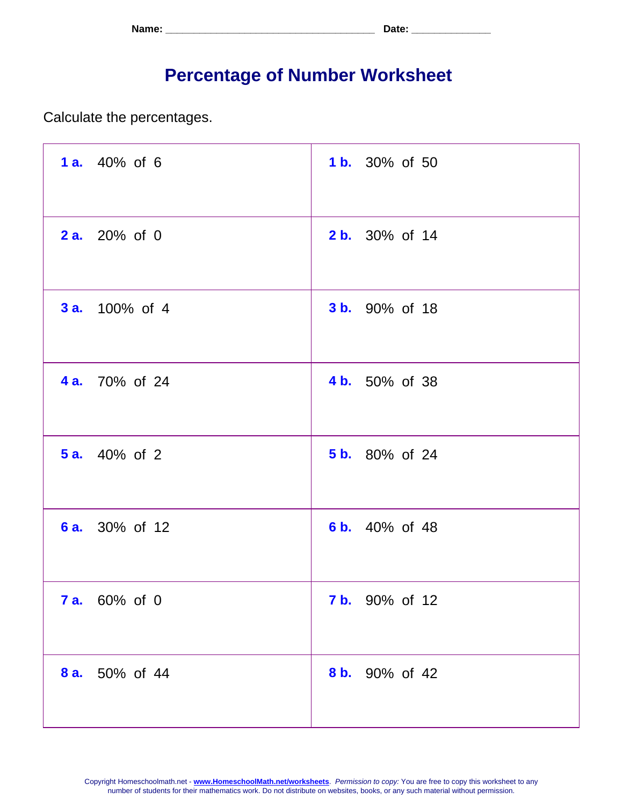| Name: | <b>. ה+הר</b><br>. Jalu - |
|-------|---------------------------|
|-------|---------------------------|

## **Percentage of Number Worksheet**

Calculate the percentages.

| 1 a. 40% of 6         | <b>1b.</b> 30% of 50  |
|-----------------------|-----------------------|
| <b>2a.</b> 20% of 0   | <b>2 b.</b> 30% of 14 |
| <b>3 a.</b> 100% of 4 | <b>3 b.</b> 90% of 18 |
| <b>4 a.</b> 70% of 24 | 4 b. 50% of 38        |
| <b>5 a.</b> 40% of 2  | <b>5 b.</b> 80% of 24 |
| <b>6 a.</b> 30% of 12 | 6 b. 40% of 48        |
| <b>7 a.</b> 60% of 0  | <b>7 b.</b> 90% of 12 |
| 8 a. 50% of 44        | 8 b. 90% of 42        |